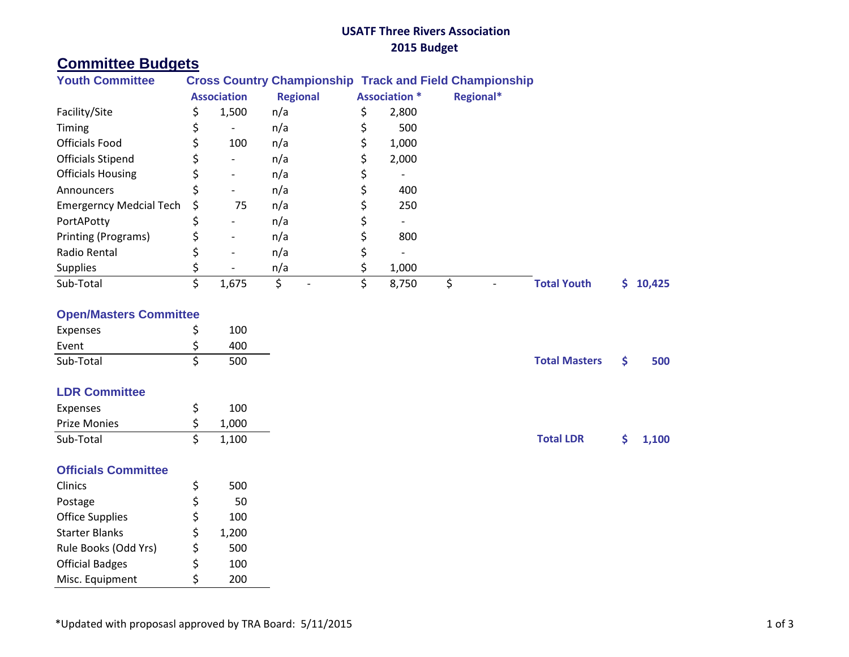## **USATF Three Rivers Association 2015 Budget**

# **Committee Budgets**

| <b>Youth Committee</b>     | <b>Cross Country Championship Track and Field Championship</b> |                              |                 |  |                      |           |                    |        |  |  |
|----------------------------|----------------------------------------------------------------|------------------------------|-----------------|--|----------------------|-----------|--------------------|--------|--|--|
|                            |                                                                | <b>Association</b>           | <b>Regional</b> |  | <b>Association *</b> | Regional* |                    |        |  |  |
| Facility/Site              |                                                                | 1,500                        | n/a             |  | 2,800                |           |                    |        |  |  |
| Timing                     |                                                                | $\qquad \qquad \blacksquare$ | n/a             |  | 500                  |           |                    |        |  |  |
| <b>Officials Food</b>      |                                                                | 100                          | n/a             |  | 1,000                |           |                    |        |  |  |
| <b>Officials Stipend</b>   |                                                                | -                            | n/a             |  | 2,000                |           |                    |        |  |  |
| <b>Officials Housing</b>   |                                                                | $\overline{\phantom{a}}$     | n/a             |  |                      |           |                    |        |  |  |
| <b>Announcers</b>          |                                                                | $\overline{\phantom{a}}$     | n/a             |  | 400                  |           |                    |        |  |  |
| Emergerncy Medcial Tech \$ |                                                                | 75                           | n/a             |  | 250                  |           |                    |        |  |  |
| PortAPotty                 |                                                                |                              | n/a             |  |                      |           |                    |        |  |  |
| Printing (Programs)        |                                                                | $\overline{\phantom{a}}$     | n/a             |  | 800                  |           |                    |        |  |  |
| Radio Rental               |                                                                | $\overline{\phantom{a}}$     | n/a             |  |                      |           |                    |        |  |  |
| <b>Supplies</b>            |                                                                |                              | n/a             |  | 1,000                |           |                    |        |  |  |
| Sub-Total                  |                                                                | 1,675                        |                 |  | 8,750                |           | <b>Total Youth</b> | 10,425 |  |  |

#### **Open/Masters Committee**

| Expenses  | 100 |                      |     |
|-----------|-----|----------------------|-----|
| Event     | 400 |                      |     |
| Sub-Total | 500 | <b>Total Masters</b> | 500 |

### **LDR Committee**

| Expenses     | 100   |                  |         |
|--------------|-------|------------------|---------|
| Prize Monies | 1,000 |                  |         |
| Sub-Total    | 1,100 | <b>Total LDR</b> | \$1,100 |

### **Officials Committee**

| Clinics                | \$ | 500   |
|------------------------|----|-------|
| Postage                | \$ | 50    |
| <b>Office Supplies</b> | \$ | 100   |
| <b>Starter Blanks</b>  | \$ | 1,200 |
| Rule Books (Odd Yrs)   | \$ | 500   |
| <b>Official Badges</b> | Ś  | 100   |
| Misc. Equipment        | Ś  | 200   |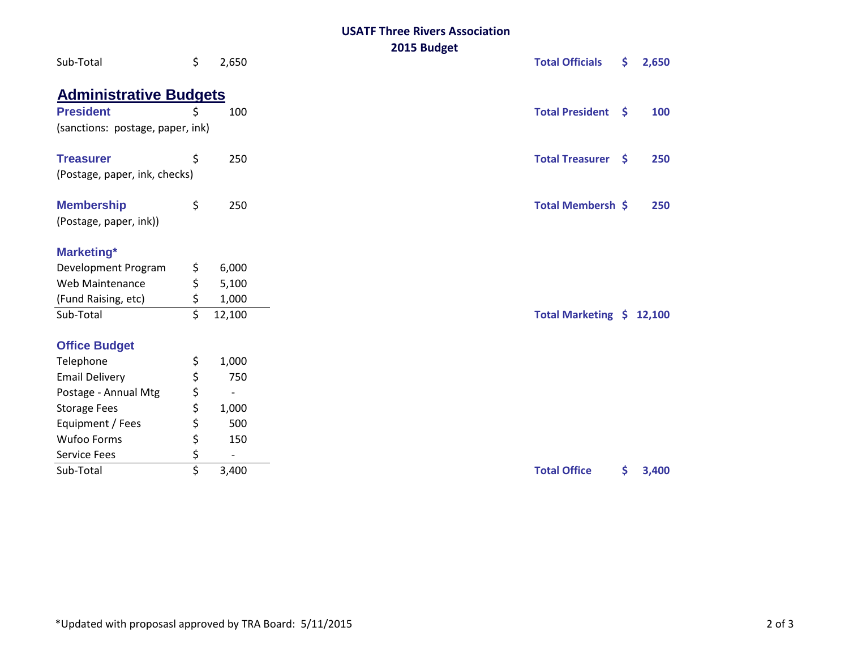#### **USATF Three Rivers Association 2015 Budget**

| Sub-Total                        | \$ | 2,650  | ZUIJ DUUBEL<br><b>Total Officials</b> | \$.<br>2,650 |
|----------------------------------|----|--------|---------------------------------------|--------------|
| <b>Administrative Budgets</b>    |    |        |                                       |              |
| <b>President</b>                 | Ś  | 100    | <b>Total President</b><br>-S          | 100          |
| (sanctions: postage, paper, ink) |    |        |                                       |              |
| <b>Treasurer</b>                 | \$ | 250    | <b>Total Treasurer</b><br>\$          | 250          |
| (Postage, paper, ink, checks)    |    |        |                                       |              |
| <b>Membership</b>                | \$ | 250    | <b>Total Membersh \$</b>              | 250          |
| (Postage, paper, ink))           |    |        |                                       |              |
| <b>Marketing*</b>                |    |        |                                       |              |
| Development Program              | \$ | 6,000  |                                       |              |
| Web Maintenance                  | \$ | 5,100  |                                       |              |
| (Fund Raising, etc)              | \$ | 1,000  |                                       |              |
| Sub-Total                        | \$ | 12,100 | Total Marketing \$                    | 12,100       |
| <b>Office Budget</b>             |    |        |                                       |              |
| Telephone                        | \$ | 1,000  |                                       |              |
| <b>Email Delivery</b>            | \$ | 750    |                                       |              |
| Postage - Annual Mtg             | \$ |        |                                       |              |
| <b>Storage Fees</b>              | \$ | 1,000  |                                       |              |
| Equipment / Fees                 | \$ | 500    |                                       |              |
| Wufoo Forms                      | \$ | 150    |                                       |              |
| <b>Service Fees</b>              | \$ |        |                                       |              |
| Sub-Total                        | \$ | 3,400  | <b>Total Office</b>                   | \$.<br>3,400 |